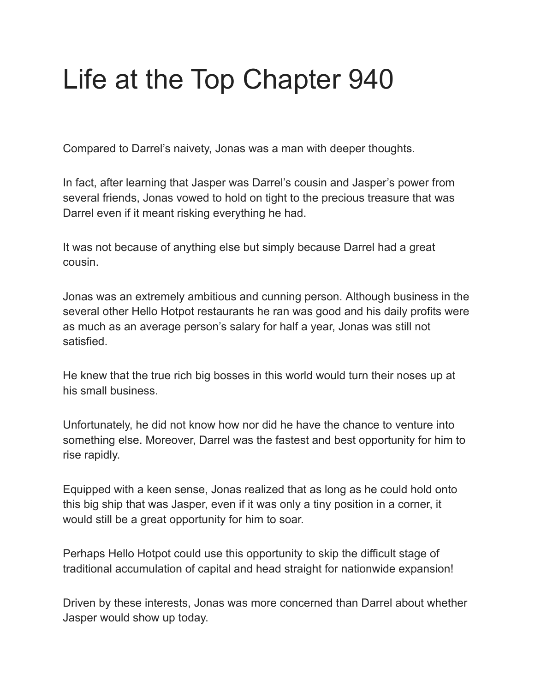## Life at the Top Chapter 940

Compared to Darrel's naivety, Jonas was a man with deeper thoughts.

In fact, after learning that Jasper was Darrel's cousin and Jasper's power from several friends, Jonas vowed to hold on tight to the precious treasure that was Darrel even if it meant risking everything he had.

It was not because of anything else but simply because Darrel had a great cousin.

Jonas was an extremely ambitious and cunning person. Although business in the several other Hello Hotpot restaurants he ran was good and his daily profits were as much as an average person's salary for half a year, Jonas was still not satisfied.

He knew that the true rich big bosses in this world would turn their noses up at his small business.

Unfortunately, he did not know how nor did he have the chance to venture into something else. Moreover, Darrel was the fastest and best opportunity for him to rise rapidly.

Equipped with a keen sense, Jonas realized that as long as he could hold onto this big ship that was Jasper, even if it was only a tiny position in a corner, it would still be a great opportunity for him to soar.

Perhaps Hello Hotpot could use this opportunity to skip the difficult stage of traditional accumulation of capital and head straight for nationwide expansion!

Driven by these interests, Jonas was more concerned than Darrel about whether Jasper would show up today.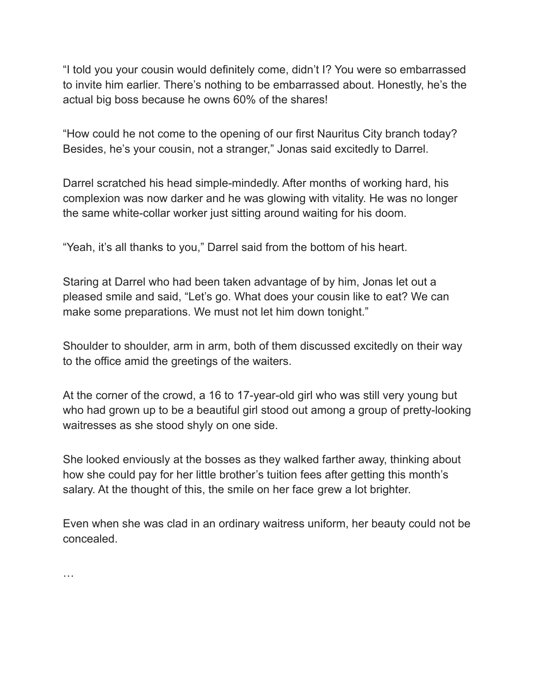"I told you your cousin would definitely come, didn't I? You were so embarrassed to invite him earlier. There's nothing to be embarrassed about. Honestly, he's the actual big boss because he owns 60% of the shares!

"How could he not come to the opening of our first Nauritus City branch today? Besides, he's your cousin, not a stranger," Jonas said excitedly to Darrel.

Darrel scratched his head simple-mindedly. After months of working hard, his complexion was now darker and he was glowing with vitality. He was no longer the same white-collar worker just sitting around waiting for his doom.

"Yeah, it's all thanks to you," Darrel said from the bottom of his heart.

Staring at Darrel who had been taken advantage of by him, Jonas let out a pleased smile and said, "Let's go. What does your cousin like to eat? We can make some preparations. We must not let him down tonight."

Shoulder to shoulder, arm in arm, both of them discussed excitedly on their way to the office amid the greetings of the waiters.

At the corner of the crowd, a 16 to 17-year-old girl who was still very young but who had grown up to be a beautiful girl stood out among a group of pretty-looking waitresses as she stood shyly on one side.

She looked enviously at the bosses as they walked farther away, thinking about how she could pay for her little brother's tuition fees after getting this month's salary. At the thought of this, the smile on her face grew a lot brighter.

Even when she was clad in an ordinary waitress uniform, her beauty could not be concealed.

…